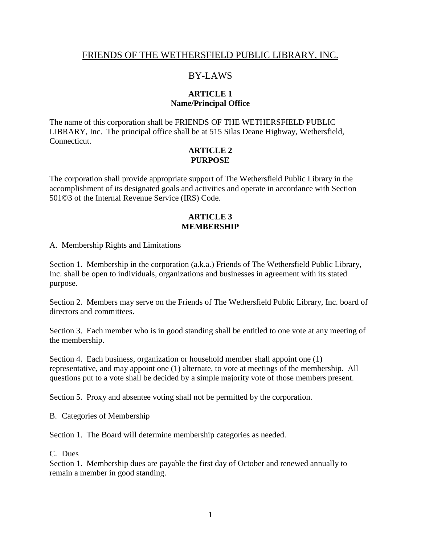# FRIENDS OF THE WETHERSFIELD PUBLIC LIBRARY, INC.

# BY-LAWS

## **ARTICLE 1 Name/Principal Office**

The name of this corporation shall be FRIENDS OF THE WETHERSFIELD PUBLIC LIBRARY, Inc. The principal office shall be at 515 Silas Deane Highway, Wethersfield, Connecticut.

### **ARTICLE 2 PURPOSE**

The corporation shall provide appropriate support of The Wethersfield Public Library in the accomplishment of its designated goals and activities and operate in accordance with Section 501©3 of the Internal Revenue Service (IRS) Code.

### **ARTICLE 3 MEMBERSHIP**

A. Membership Rights and Limitations

Section 1. Membership in the corporation (a.k.a.) Friends of The Wethersfield Public Library, Inc. shall be open to individuals, organizations and businesses in agreement with its stated purpose.

Section 2. Members may serve on the Friends of The Wethersfield Public Library, Inc. board of directors and committees.

Section 3. Each member who is in good standing shall be entitled to one vote at any meeting of the membership.

Section 4. Each business, organization or household member shall appoint one (1) representative, and may appoint one (1) alternate, to vote at meetings of the membership. All questions put to a vote shall be decided by a simple majority vote of those members present.

Section 5. Proxy and absentee voting shall not be permitted by the corporation.

B. Categories of Membership

Section 1. The Board will determine membership categories as needed.

C. Dues

Section 1. Membership dues are payable the first day of October and renewed annually to remain a member in good standing.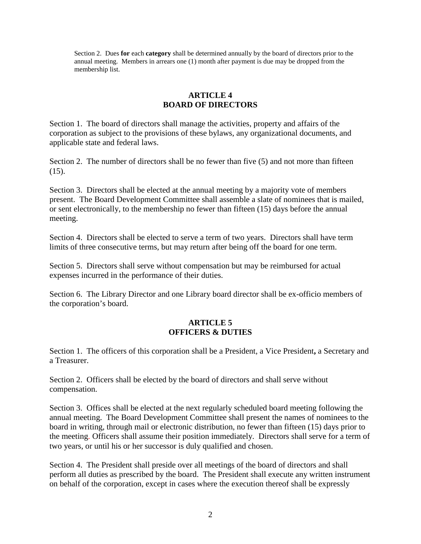Section 2. Dues **for** each **category** shall be determined annually by the board of directors prior to the annual meeting. Members in arrears one (1) month after payment is due may be dropped from the membership list.

### **ARTICLE 4 BOARD OF DIRECTORS**

Section 1. The board of directors shall manage the activities, property and affairs of the corporation as subject to the provisions of these bylaws, any organizational documents, and applicable state and federal laws.

Section 2. The number of directors shall be no fewer than five (5) and not more than fifteen  $(15)$ .

Section 3. Directors shall be elected at the annual meeting by a majority vote of members present. The Board Development Committee shall assemble a slate of nominees that is mailed, or sent electronically, to the membership no fewer than fifteen (15) days before the annual meeting.

Section 4. Directors shall be elected to serve a term of two years. Directors shall have term limits of three consecutive terms, but may return after being off the board for one term.

Section 5. Directors shall serve without compensation but may be reimbursed for actual expenses incurred in the performance of their duties.

Section 6. The Library Director and one Library board director shall be ex-officio members of the corporation's board.

### **ARTICLE 5 OFFICERS & DUTIES**

Section 1. The officers of this corporation shall be a President, a Vice President**,** a Secretary and a Treasurer.

Section 2. Officers shall be elected by the board of directors and shall serve without compensation.

Section 3. Offices shall be elected at the next regularly scheduled board meeting following the annual meeting. The Board Development Committee shall present the names of nominees to the board in writing, through mail or electronic distribution, no fewer than fifteen (15) days prior to the meeting. Officers shall assume their position immediately. Directors shall serve for a term of two years, or until his or her successor is duly qualified and chosen.

Section 4. The President shall preside over all meetings of the board of directors and shall perform all duties as prescribed by the board. The President shall execute any written instrument on behalf of the corporation, except in cases where the execution thereof shall be expressly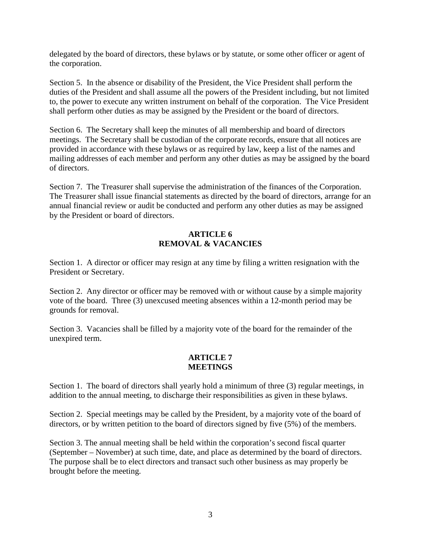delegated by the board of directors, these bylaws or by statute, or some other officer or agent of the corporation.

Section 5. In the absence or disability of the President, the Vice President shall perform the duties of the President and shall assume all the powers of the President including, but not limited to, the power to execute any written instrument on behalf of the corporation. The Vice President shall perform other duties as may be assigned by the President or the board of directors.

Section 6. The Secretary shall keep the minutes of all membership and board of directors meetings. The Secretary shall be custodian of the corporate records, ensure that all notices are provided in accordance with these bylaws or as required by law, keep a list of the names and mailing addresses of each member and perform any other duties as may be assigned by the board of directors.

Section 7. The Treasurer shall supervise the administration of the finances of the Corporation. The Treasurer shall issue financial statements as directed by the board of directors, arrange for an annual financial review or audit be conducted and perform any other duties as may be assigned by the President or board of directors.

### **ARTICLE 6 REMOVAL & VACANCIES**

Section 1. A director or officer may resign at any time by filing a written resignation with the President or Secretary.

Section 2. Any director or officer may be removed with or without cause by a simple majority vote of the board. Three (3) unexcused meeting absences within a 12-month period may be grounds for removal.

Section 3. Vacancies shall be filled by a majority vote of the board for the remainder of the unexpired term.

### **ARTICLE 7 MEETINGS**

Section 1. The board of directors shall yearly hold a minimum of three (3) regular meetings, in addition to the annual meeting, to discharge their responsibilities as given in these bylaws.

Section 2. Special meetings may be called by the President, by a majority vote of the board of directors, or by written petition to the board of directors signed by five (5%) of the members.

Section 3. The annual meeting shall be held within the corporation's second fiscal quarter (September – November) at such time, date, and place as determined by the board of directors. The purpose shall be to elect directors and transact such other business as may properly be brought before the meeting.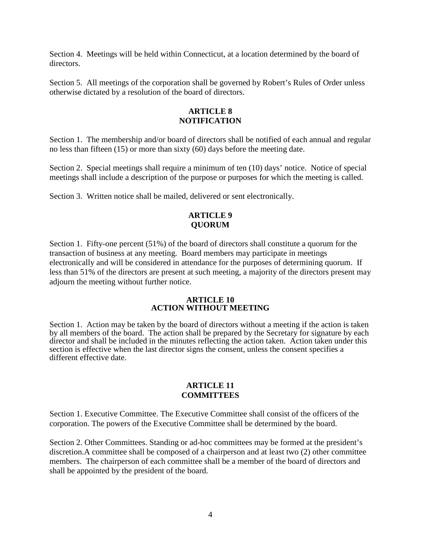Section 4. Meetings will be held within Connecticut, at a location determined by the board of directors.

Section 5. All meetings of the corporation shall be governed by Robert's Rules of Order unless otherwise dictated by a resolution of the board of directors.

### **ARTICLE 8 NOTIFICATION**

Section 1. The membership and/or board of directors shall be notified of each annual and regular no less than fifteen (15) or more than sixty (60) days before the meeting date.

Section 2. Special meetings shall require a minimum of ten (10) days' notice. Notice of special meetings shall include a description of the purpose or purposes for which the meeting is called.

Section 3. Written notice shall be mailed, delivered or sent electronically.

### **ARTICLE 9 QUORUM**

Section 1. Fifty-one percent (51%) of the board of directors shall constitute a quorum for the transaction of business at any meeting. Board members may participate in meetings electronically and will be considered in attendance for the purposes of determining quorum. If less than 51% of the directors are present at such meeting, a majority of the directors present may adjourn the meeting without further notice.

### **ARTICLE 10 ACTION WITHOUT MEETING**

Section 1. Action may be taken by the board of directors without a meeting if the action is taken by all members of the board. The action shall be prepared by the Secretary for signature by each director and shall be included in the minutes reflecting the action taken. Action taken under this section is effective when the last director signs the consent, unless the consent specifies a different effective date.

### **ARTICLE 11 COMMITTEES**

Section 1. Executive Committee. The Executive Committee shall consist of the officers of the corporation. The powers of the Executive Committee shall be determined by the board.

Section 2. Other Committees. Standing or ad-hoc committees may be formed at the president's discretion.A committee shall be composed of a chairperson and at least two (2) other committee members. The chairperson of each committee shall be a member of the board of directors and shall be appointed by the president of the board.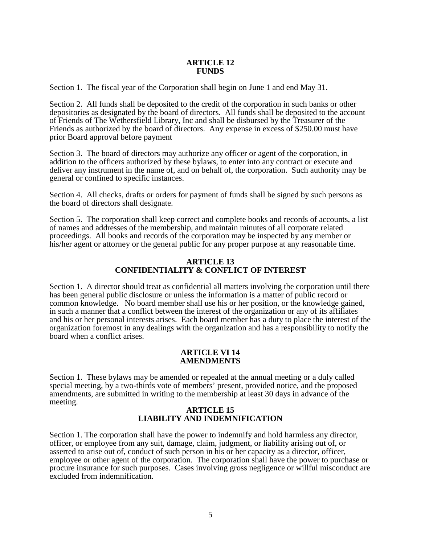#### **ARTICLE 12 FUNDS**

Section 1. The fiscal year of the Corporation shall begin on June 1 and end May 31.

Section 2. All funds shall be deposited to the credit of the corporation in such banks or other depositories as designated by the board of directors. All funds shall be deposited to the account of Friends of The Wethersfield Library, Inc and shall be disbursed by the Treasurer of the Friends as authorized by the board of directors. Any expense in excess of \$250.00 must have prior Board approval before payment

Section 3. The board of directors may authorize any officer or agent of the corporation, in addition to the officers authorized by these bylaws, to enter into any contract or execute and deliver any instrument in the name of, and on behalf of, the corporation. Such authority may be general or confined to specific instances.

Section 4. All checks, drafts or orders for payment of funds shall be signed by such persons as the board of directors shall designate.

Section 5. The corporation shall keep correct and complete books and records of accounts, a list of names and addresses of the membership, and maintain minutes of all corporate related proceedings. All books and records of the corporation may be inspected by any member or his/her agent or attorney or the general public for any proper purpose at any reasonable time.

#### **ARTICLE 13 CONFIDENTIALITY & CONFLICT OF INTEREST**

Section 1. A director should treat as confidential all matters involving the corporation until there has been general public disclosure or unless the information is a matter of public record or common knowledge. No board member shall use his or her position, or the knowledge gained, in such a manner that a conflict between the interest of the organization or any of its affiliates and his or her personal interests arises. Each board member has a duty to place the interest of the organization foremost in any dealings with the organization and has a responsibility to notify the board when a conflict arises.

#### **ARTICLE VI 14 AMENDMENTS**

Section 1. These bylaws may be amended or repealed at the annual meeting or a duly called special meeting, by a two-thirds vote of members' present, provided notice, and the proposed amendments, are submitted in writing to the membership at least 30 days in advance of the meeting.

### **ARTICLE 15 LIABILITY AND INDEMNIFICATION**

Section 1. The corporation shall have the power to indemnify and hold harmless any director, officer, or employee from any suit, damage, claim, judgment, or liability arising out of, or asserted to arise out of, conduct of such person in his or her capacity as a director, officer, employee or other agent of the corporation. The corporation shall have the power to purchase or procure insurance for such purposes. Cases involving gross negligence or willful misconduct are excluded from indemnification.